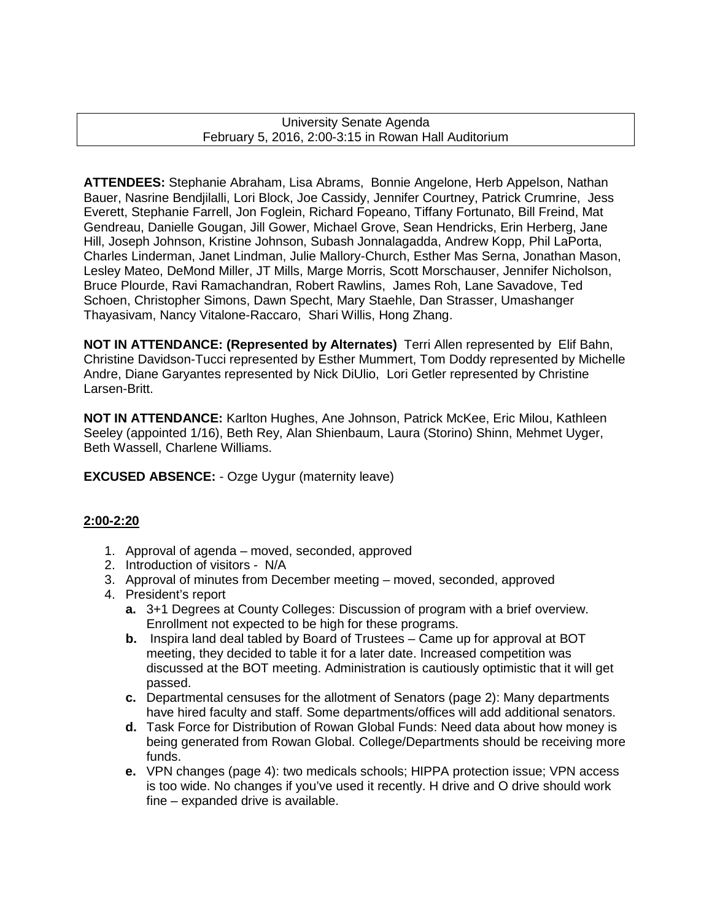University Senate Agenda February 5, 2016, 2:00-3:15 in Rowan Hall Auditorium

**ATTENDEES:** Stephanie Abraham, Lisa Abrams, Bonnie Angelone, Herb Appelson, Nathan Bauer, Nasrine Bendjilalli, Lori Block, Joe Cassidy, Jennifer Courtney, Patrick Crumrine, Jess Everett, Stephanie Farrell, Jon Foglein, Richard Fopeano, Tiffany Fortunato, Bill Freind, Mat Gendreau, Danielle Gougan, Jill Gower, Michael Grove, Sean Hendricks, Erin Herberg, Jane Hill, Joseph Johnson, Kristine Johnson, Subash Jonnalagadda, Andrew Kopp, Phil LaPorta, Charles Linderman, Janet Lindman, Julie Mallory-Church, Esther Mas Serna, Jonathan Mason, Lesley Mateo, DeMond Miller, JT Mills, Marge Morris, Scott Morschauser, Jennifer Nicholson, Bruce Plourde, Ravi Ramachandran, Robert Rawlins, James Roh, Lane Savadove, Ted Schoen, Christopher Simons, Dawn Specht, Mary Staehle, Dan Strasser, Umashanger Thayasivam, Nancy Vitalone-Raccaro, Shari Willis, Hong Zhang.

**NOT IN ATTENDANCE: (Represented by Alternates)** Terri Allen represented by Elif Bahn, Christine Davidson-Tucci represented by Esther Mummert, Tom Doddy represented by Michelle Andre, Diane Garyantes represented by Nick DiUlio, Lori Getler represented by Christine Larsen-Britt.

**NOT IN ATTENDANCE:** Karlton Hughes, Ane Johnson, Patrick McKee, Eric Milou, Kathleen Seeley (appointed 1/16), Beth Rey, Alan Shienbaum, Laura (Storino) Shinn, Mehmet Uyger, Beth Wassell, Charlene Williams.

**EXCUSED ABSENCE:** - Ozge Uygur (maternity leave)

## **2:00-2:20**

- 1. Approval of agenda moved, seconded, approved
- 2. Introduction of visitors N/A
- 3. Approval of minutes from December meeting moved, seconded, approved
- 4. President's report
	- **a.** 3+1 Degrees at County Colleges: Discussion of program with a brief overview. Enrollment not expected to be high for these programs.
	- **b.** Inspira land deal tabled by Board of Trustees Came up for approval at BOT meeting, they decided to table it for a later date. Increased competition was discussed at the BOT meeting. Administration is cautiously optimistic that it will get passed.
	- **c.** Departmental censuses for the allotment of Senators (page 2): Many departments have hired faculty and staff. Some departments/offices will add additional senators.
	- **d.** Task Force for Distribution of Rowan Global Funds: Need data about how money is being generated from Rowan Global. College/Departments should be receiving more funds.
	- **e.** VPN changes (page 4): two medicals schools; HIPPA protection issue; VPN access is too wide. No changes if you've used it recently. H drive and O drive should work fine – expanded drive is available.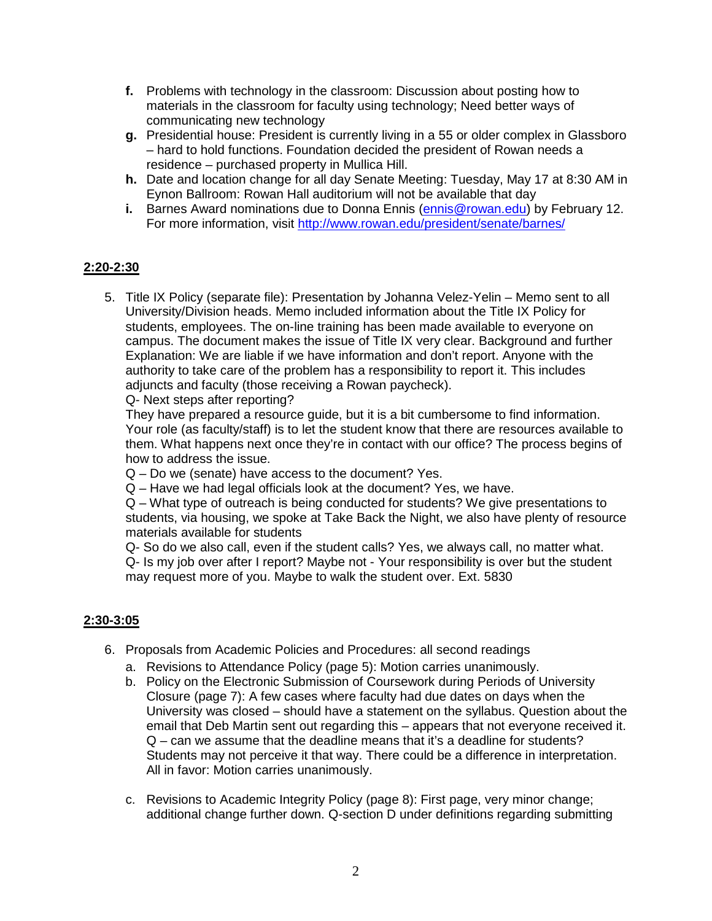- **f.** Problems with technology in the classroom: Discussion about posting how to materials in the classroom for faculty using technology; Need better ways of communicating new technology
- **g.** Presidential house: President is currently living in a 55 or older complex in Glassboro – hard to hold functions. Foundation decided the president of Rowan needs a residence – purchased property in Mullica Hill.
- **h.** Date and location change for all day Senate Meeting: Tuesday, May 17 at 8:30 AM in Eynon Ballroom: Rowan Hall auditorium will not be available that day
- **i.** Barnes Award nominations due to Donna Ennis [\(ennis@rowan.edu\)](mailto:ennis@rowan.edu) by February 12. For more information, visit<http://www.rowan.edu/president/senate/barnes/>

## **2:20-2:30**

5. Title IX Policy (separate file): Presentation by Johanna Velez-Yelin – Memo sent to all University/Division heads. Memo included information about the Title IX Policy for students, employees. The on-line training has been made available to everyone on campus. The document makes the issue of Title IX very clear. Background and further Explanation: We are liable if we have information and don't report. Anyone with the authority to take care of the problem has a responsibility to report it. This includes adjuncts and faculty (those receiving a Rowan paycheck).

Q- Next steps after reporting?

They have prepared a resource guide, but it is a bit cumbersome to find information. Your role (as faculty/staff) is to let the student know that there are resources available to them. What happens next once they're in contact with our office? The process begins of how to address the issue.

Q – Do we (senate) have access to the document? Yes.

Q – Have we had legal officials look at the document? Yes, we have.

Q – What type of outreach is being conducted for students? We give presentations to students, via housing, we spoke at Take Back the Night, we also have plenty of resource materials available for students

Q- So do we also call, even if the student calls? Yes, we always call, no matter what. Q- Is my job over after I report? Maybe not - Your responsibility is over but the student may request more of you. Maybe to walk the student over. Ext. 5830

## **2:30-3:05**

- 6. Proposals from Academic Policies and Procedures: all second readings
	- a. Revisions to Attendance Policy (page 5): Motion carries unanimously.
	- b. Policy on the Electronic Submission of Coursework during Periods of University Closure (page 7): A few cases where faculty had due dates on days when the University was closed – should have a statement on the syllabus. Question about the email that Deb Martin sent out regarding this – appears that not everyone received it. Q – can we assume that the deadline means that it's a deadline for students? Students may not perceive it that way. There could be a difference in interpretation. All in favor: Motion carries unanimously.
	- c. Revisions to Academic Integrity Policy (page 8): First page, very minor change; additional change further down. Q-section D under definitions regarding submitting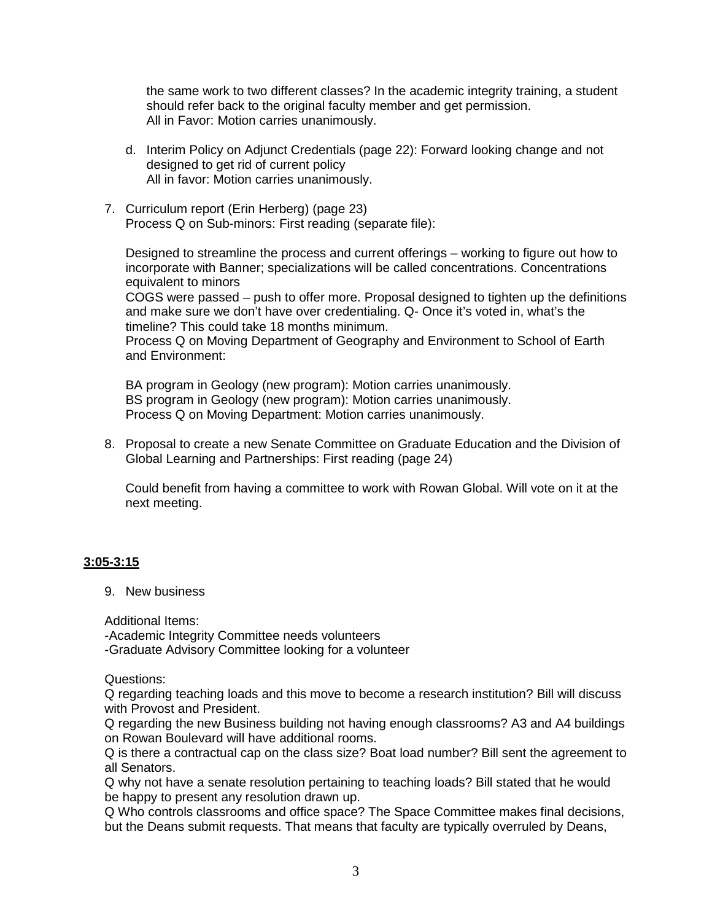the same work to two different classes? In the academic integrity training, a student should refer back to the original faculty member and get permission. All in Favor: Motion carries unanimously.

- d. Interim Policy on Adjunct Credentials (page 22): Forward looking change and not designed to get rid of current policy All in favor: Motion carries unanimously.
- 7. Curriculum report (Erin Herberg) (page 23) Process Q on Sub-minors: First reading (separate file):

Designed to streamline the process and current offerings – working to figure out how to incorporate with Banner; specializations will be called concentrations. Concentrations equivalent to minors

COGS were passed – push to offer more. Proposal designed to tighten up the definitions and make sure we don't have over credentialing. Q- Once it's voted in, what's the timeline? This could take 18 months minimum.

Process Q on Moving Department of Geography and Environment to School of Earth and Environment:

BA program in Geology (new program): Motion carries unanimously. BS program in Geology (new program): Motion carries unanimously. Process Q on Moving Department: Motion carries unanimously.

8. Proposal to create a new Senate Committee on Graduate Education and the Division of Global Learning and Partnerships: First reading (page 24)

Could benefit from having a committee to work with Rowan Global. Will vote on it at the next meeting.

## **3:05-3:15**

9. New business

Additional Items:

-Academic Integrity Committee needs volunteers

-Graduate Advisory Committee looking for a volunteer

Questions:

Q regarding teaching loads and this move to become a research institution? Bill will discuss with Provost and President.

Q regarding the new Business building not having enough classrooms? A3 and A4 buildings on Rowan Boulevard will have additional rooms.

Q is there a contractual cap on the class size? Boat load number? Bill sent the agreement to all Senators.

Q why not have a senate resolution pertaining to teaching loads? Bill stated that he would be happy to present any resolution drawn up.

Q Who controls classrooms and office space? The Space Committee makes final decisions, but the Deans submit requests. That means that faculty are typically overruled by Deans,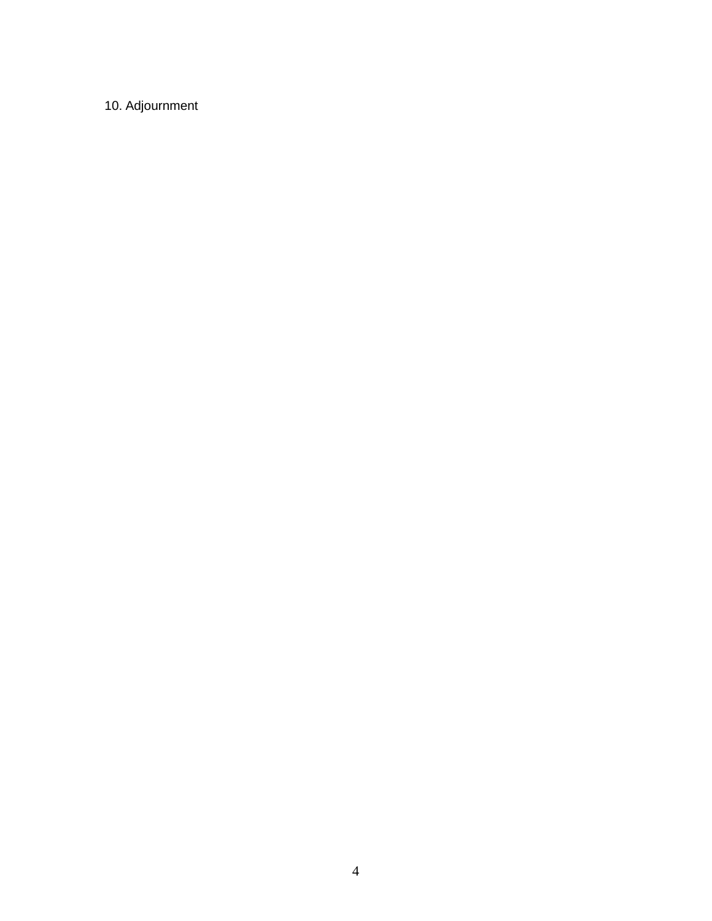10. Adjournment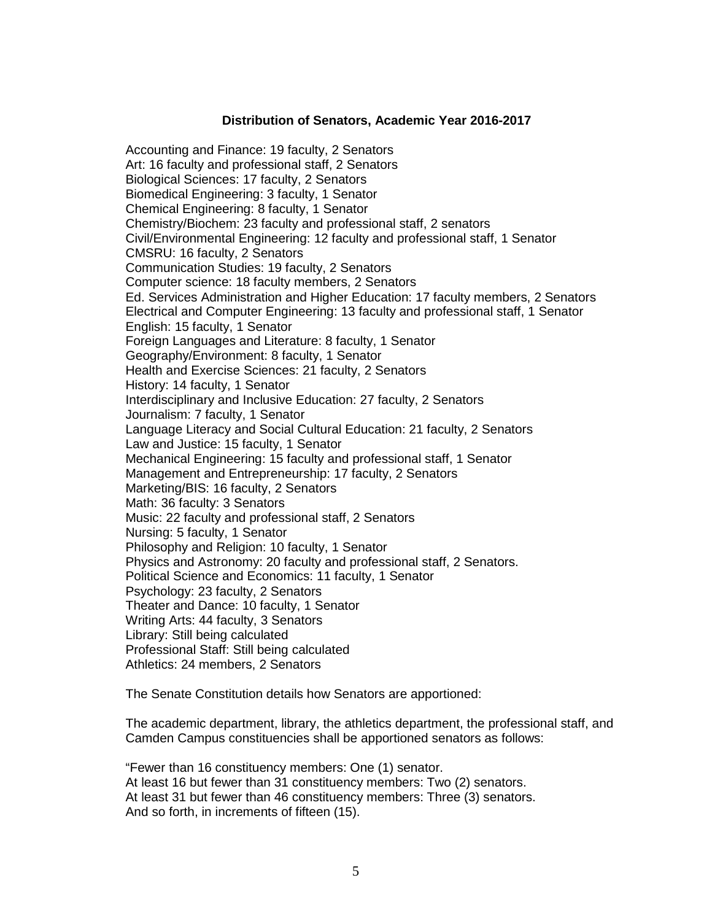#### **Distribution of Senators, Academic Year 2016-2017**

Accounting and Finance: 19 faculty, 2 Senators Art: 16 faculty and professional staff, 2 Senators Biological Sciences: 17 faculty, 2 Senators Biomedical Engineering: 3 faculty, 1 Senator Chemical Engineering: 8 faculty, 1 Senator Chemistry/Biochem: 23 faculty and professional staff, 2 senators Civil/Environmental Engineering: 12 faculty and professional staff, 1 Senator CMSRU: 16 faculty, 2 Senators Communication Studies: 19 faculty, 2 Senators Computer science: 18 faculty members, 2 Senators Ed. Services Administration and Higher Education: 17 faculty members, 2 Senators Electrical and Computer Engineering: 13 faculty and professional staff, 1 Senator English: 15 faculty, 1 Senator Foreign Languages and Literature: 8 faculty, 1 Senator Geography/Environment: 8 faculty, 1 Senator Health and Exercise Sciences: 21 faculty, 2 Senators History: 14 faculty, 1 Senator Interdisciplinary and Inclusive Education: 27 faculty, 2 Senators Journalism: 7 faculty, 1 Senator Language Literacy and Social Cultural Education: 21 faculty, 2 Senators Law and Justice: 15 faculty, 1 Senator Mechanical Engineering: 15 faculty and professional staff, 1 Senator Management and Entrepreneurship: 17 faculty, 2 Senators Marketing/BIS: 16 faculty, 2 Senators Math: 36 faculty: 3 Senators Music: 22 faculty and professional staff, 2 Senators Nursing: 5 faculty, 1 Senator Philosophy and Religion: 10 faculty, 1 Senator Physics and Astronomy: 20 faculty and professional staff, 2 Senators. Political Science and Economics: 11 faculty, 1 Senator Psychology: 23 faculty, 2 Senators Theater and Dance: 10 faculty, 1 Senator Writing Arts: 44 faculty, 3 Senators Library: Still being calculated Professional Staff: Still being calculated Athletics: 24 members, 2 Senators

The Senate Constitution details how Senators are apportioned:

The academic department, library, the athletics department, the professional staff, and Camden Campus constituencies shall be apportioned senators as follows:

"Fewer than 16 constituency members: One (1) senator. At least 16 but fewer than 31 constituency members: Two (2) senators. At least 31 but fewer than 46 constituency members: Three (3) senators. And so forth, in increments of fifteen (15).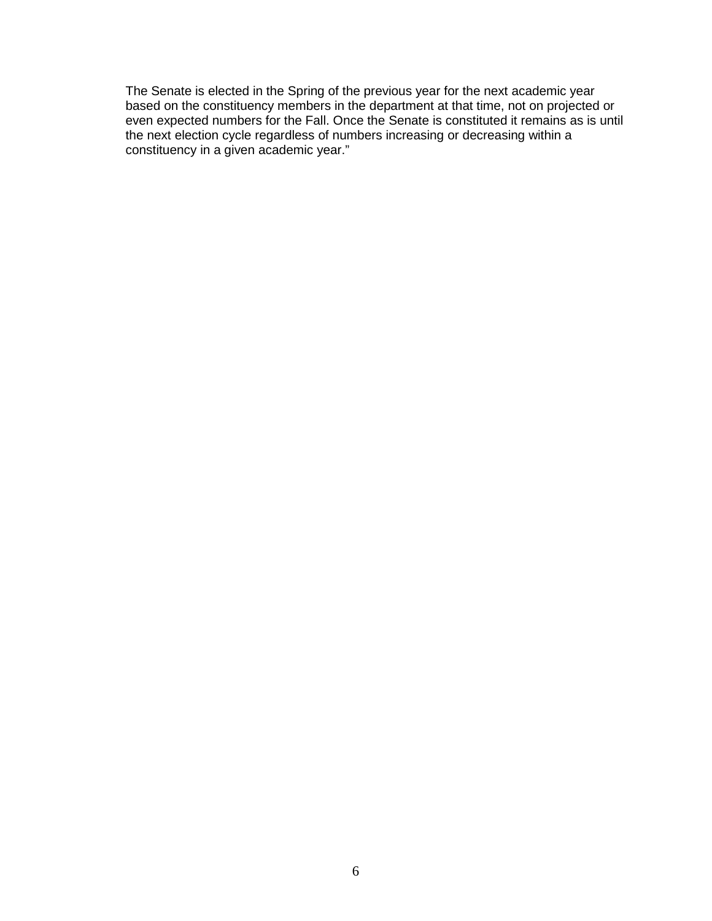The Senate is elected in the Spring of the previous year for the next academic year based on the constituency members in the department at that time, not on projected or even expected numbers for the Fall. Once the Senate is constituted it remains as is until the next election cycle regardless of numbers increasing or decreasing within a constituency in a given academic year."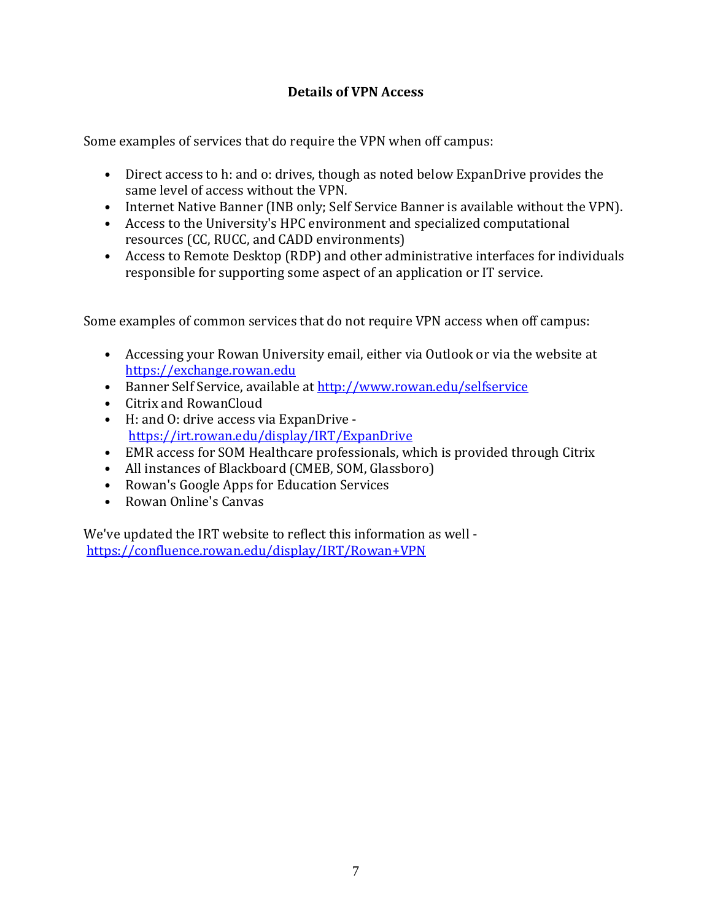# **Details of VPN Access**

Some examples of services that do require the VPN when off campus:

- Direct access to h: and o: drives, though as noted below ExpanDrive provides the same level of access without the VPN.
- Internet Native Banner (INB only; Self Service Banner is available without the VPN).
- Access to the University's HPC environment and specialized computational resources (CC, RUCC, and CADD environments)
- Access to Remote Desktop (RDP) and other administrative interfaces for individuals responsible for supporting some aspect of an application or IT service.

Some examples of common services that do not require VPN access when off campus:

- Accessing your Rowan University email, either via Outlook or via the website at [https://exchange.rowan.edu](https://exchange.rowan.edu/)
- Banner Self Service, available at<http://www.rowan.edu/selfservice>
- Citrix and RowanCloud
- H: and O: drive access via ExpanDrive <https://irt.rowan.edu/display/IRT/ExpanDrive>
- EMR access for SOM Healthcare professionals, which is provided through Citrix
- All instances of Blackboard (CMEB, SOM, Glassboro)
- Rowan's Google Apps for Education Services
- Rowan Online's Canvas

We've updated the IRT website to reflect this information as well <https://confluence.rowan.edu/display/IRT/Rowan+VPN>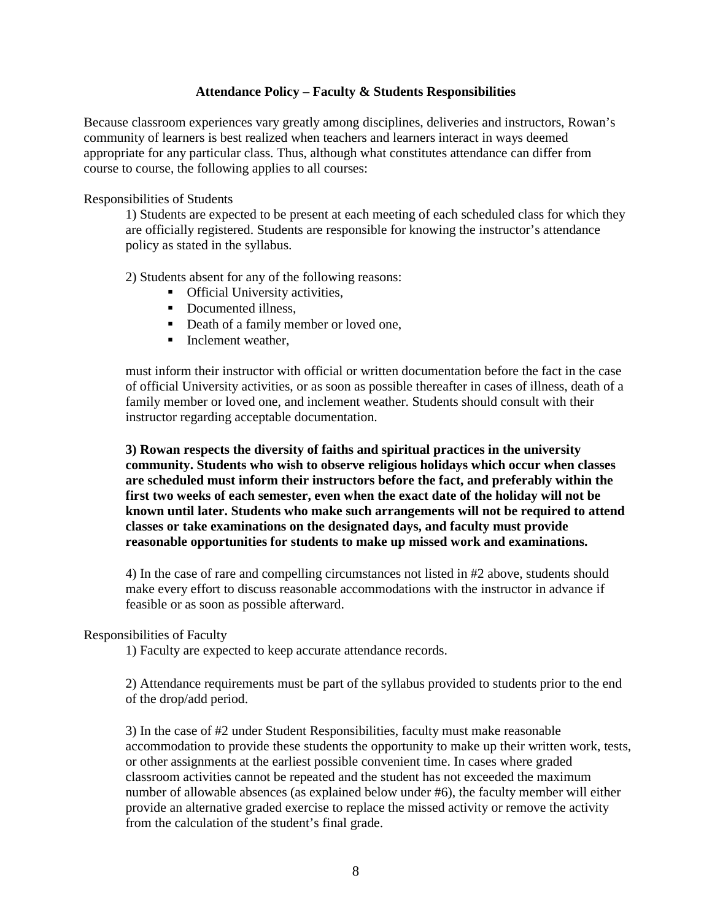#### **Attendance Policy – Faculty & Students Responsibilities**

Because classroom experiences vary greatly among disciplines, deliveries and instructors, Rowan's community of learners is best realized when teachers and learners interact in ways deemed appropriate for any particular class. Thus, although what constitutes attendance can differ from course to course, the following applies to all courses:

Responsibilities of Students

1) Students are expected to be present at each meeting of each scheduled class for which they are officially registered. Students are responsible for knowing the instructor's attendance policy as stated in the syllabus.

2) Students absent for any of the following reasons:

- **•** Official University activities,
- Documented illness.
- Death of a family member or loved one,
- $\blacksquare$  Inclement weather,

must inform their instructor with official or written documentation before the fact in the case of official University activities, or as soon as possible thereafter in cases of illness, death of a family member or loved one, and inclement weather. Students should consult with their instructor regarding acceptable documentation.

**3) Rowan respects the diversity of faiths and spiritual practices in the university community. Students who wish to observe religious holidays which occur when classes are scheduled must inform their instructors before the fact, and preferably within the first two weeks of each semester, even when the exact date of the holiday will not be known until later. Students who make such arrangements will not be required to attend classes or take examinations on the designated days, and faculty must provide reasonable opportunities for students to make up missed work and examinations.** 

4) In the case of rare and compelling circumstances not listed in #2 above, students should make every effort to discuss reasonable accommodations with the instructor in advance if feasible or as soon as possible afterward.

#### Responsibilities of Faculty

1) Faculty are expected to keep accurate attendance records.

2) Attendance requirements must be part of the syllabus provided to students prior to the end of the drop/add period.

3) In the case of #2 under Student Responsibilities, faculty must make reasonable accommodation to provide these students the opportunity to make up their written work, tests, or other assignments at the earliest possible convenient time. In cases where graded classroom activities cannot be repeated and the student has not exceeded the maximum number of allowable absences (as explained below under #6), the faculty member will either provide an alternative graded exercise to replace the missed activity or remove the activity from the calculation of the student's final grade.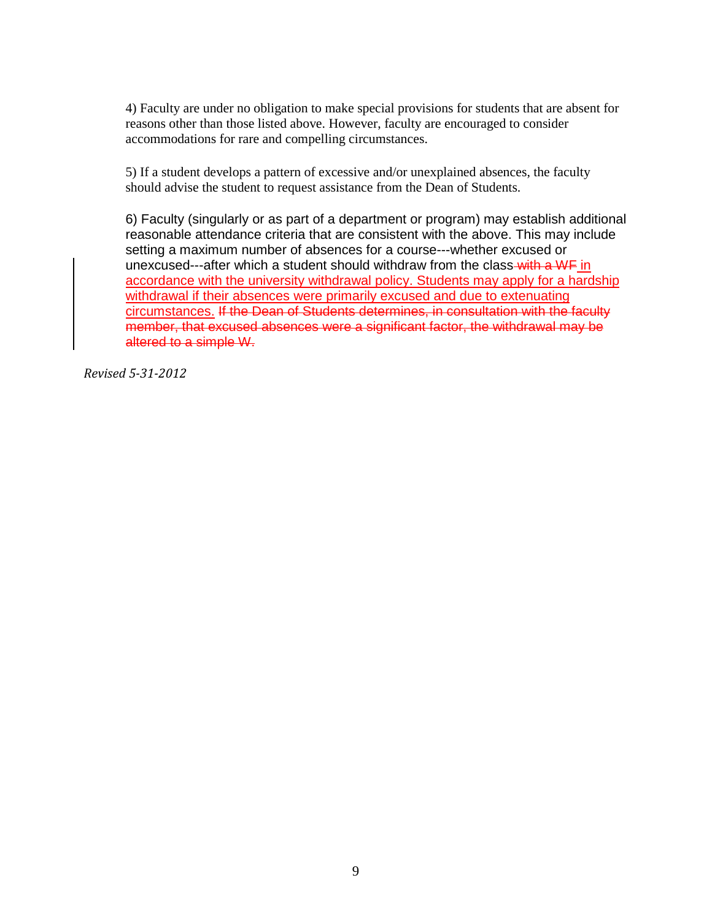4) Faculty are under no obligation to make special provisions for students that are absent for reasons other than those listed above. However, faculty are encouraged to consider accommodations for rare and compelling circumstances.

5) If a student develops a pattern of excessive and/or unexplained absences, the faculty should advise the student to request assistance from the Dean of Students.

6) Faculty (singularly or as part of a department or program) may establish additional reasonable attendance criteria that are consistent with the above. This may include setting a maximum number of absences for a course---whether excused or unexcused---after which a student should withdraw from the class-with a WF in accordance with the university withdrawal policy. Students may apply for a hardship withdrawal if their absences were primarily excused and due to extenuating circumstances. If the Dean of Students determines, in consultation with the faculty member, that excused absences were a significant factor, the withdrawal may be altered to a simple W.

*Revised 5-31-2012*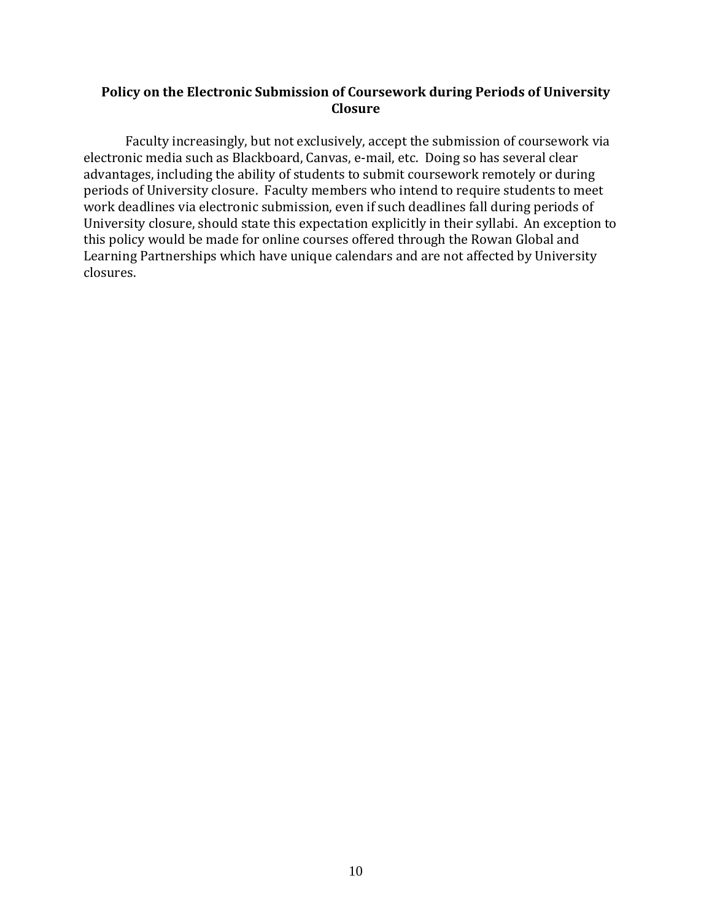## **Policy on the Electronic Submission of Coursework during Periods of University Closure**

Faculty increasingly, but not exclusively, accept the submission of coursework via electronic media such as Blackboard, Canvas, e-mail, etc. Doing so has several clear advantages, including the ability of students to submit coursework remotely or during periods of University closure. Faculty members who intend to require students to meet work deadlines via electronic submission, even if such deadlines fall during periods of University closure, should state this expectation explicitly in their syllabi. An exception to this policy would be made for online courses offered through the Rowan Global and Learning Partnerships which have unique calendars and are not affected by University closures.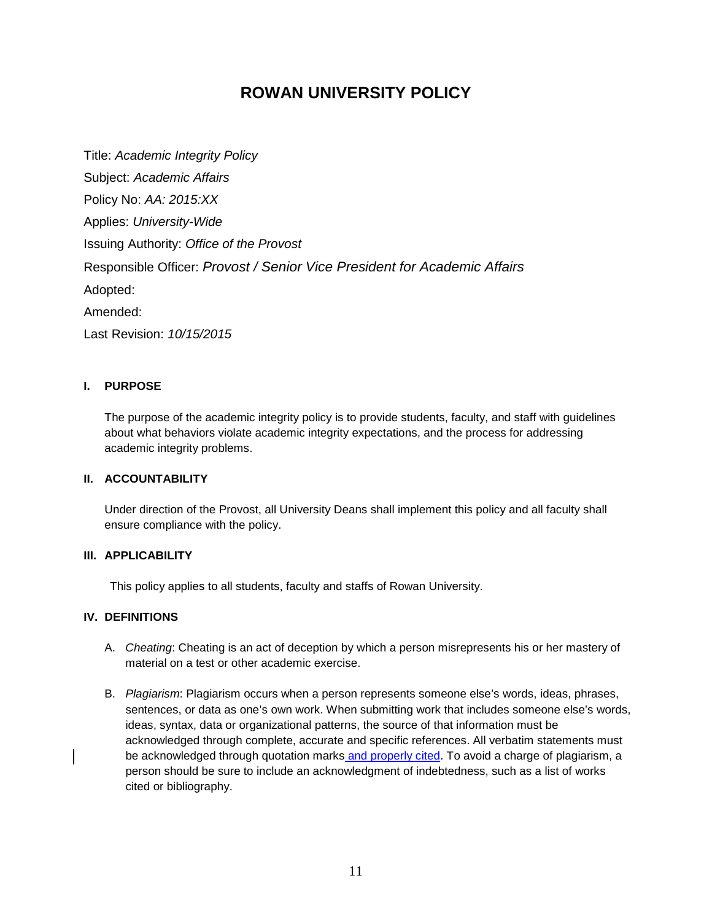# **ROWAN UNIVERSITY POLICY**

Title: *Academic Integrity Policy* Subject: *Academic Affairs* Policy No: *AA: 2015:XX* Applies: *University-Wide* Issuing Authority: *Office of the Provost* Responsible Officer: *Provost / Senior Vice President for Academic Affairs* Adopted: Amended: Last Revision: *10/15/2015*

#### **I. PURPOSE**

The purpose of the academic integrity policy is to provide students, faculty, and staff with guidelines about what behaviors violate academic integrity expectations, and the process for addressing academic integrity problems.

## **II. ACCOUNTABILITY**

Under direction of the Provost, all University Deans shall implement this policy and all faculty shall ensure compliance with the policy.

#### **III. APPLICABILITY**

This policy applies to all students, faculty and staffs of Rowan University.

#### **IV. DEFINITIONS**

- A. *Cheating*: Cheating is an act of deception by which a person misrepresents his or her mastery of material on a test or other academic exercise.
- B. *Plagiarism*: Plagiarism occurs when a person represents someone else's words, ideas, phrases, sentences, or data as one's own work. When submitting work that includes someone else's words, ideas, syntax, data or organizational patterns, the source of that information must be acknowledged through complete, accurate and specific references. All verbatim statements must be acknowledged through quotation marks and properly cited. To avoid a charge of plagiarism, a person should be sure to include an acknowledgment of indebtedness, such as a list of works cited or bibliography.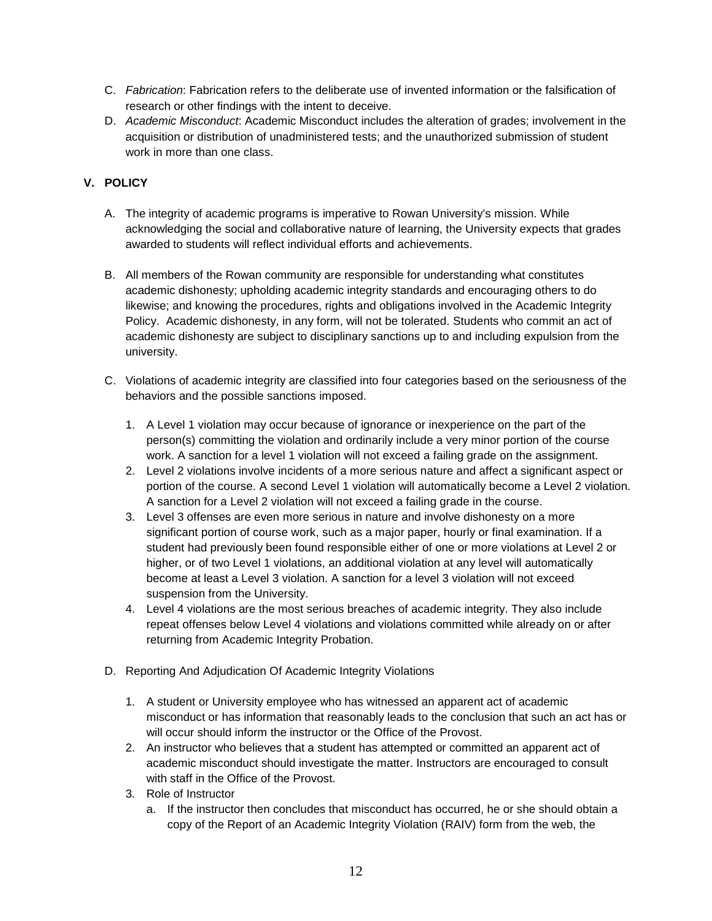- C. *Fabrication*: Fabrication refers to the deliberate use of invented information or the falsification of research or other findings with the intent to deceive.
- D. *Academic Misconduct*: Academic Misconduct includes the alteration of grades; involvement in the acquisition or distribution of unadministered tests; and the unauthorized submission of student work in more than one class.

## **V. POLICY**

- A. The integrity of academic programs is imperative to Rowan University's mission. While acknowledging the social and collaborative nature of learning, the University expects that grades awarded to students will reflect individual efforts and achievements.
- B. All members of the Rowan community are responsible for understanding what constitutes academic dishonesty; upholding academic integrity standards and encouraging others to do likewise; and knowing the procedures, rights and obligations involved in the Academic Integrity Policy. Academic dishonesty, in any form, will not be tolerated. Students who commit an act of academic dishonesty are subject to disciplinary sanctions up to and including expulsion from the university.
- C. Violations of academic integrity are classified into four categories based on the seriousness of the behaviors and the possible sanctions imposed.
	- 1. A Level 1 violation may occur because of ignorance or inexperience on the part of the person(s) committing the violation and ordinarily include a very minor portion of the course work. A sanction for a level 1 violation will not exceed a failing grade on the assignment.
	- 2. Level 2 violations involve incidents of a more serious nature and affect a significant aspect or portion of the course. A second Level 1 violation will automatically become a Level 2 violation. A sanction for a Level 2 violation will not exceed a failing grade in the course.
	- 3. Level 3 offenses are even more serious in nature and involve dishonesty on a more significant portion of course work, such as a major paper, hourly or final examination. If a student had previously been found responsible either of one or more violations at Level 2 or higher, or of two Level 1 violations, an additional violation at any level will automatically become at least a Level 3 violation. A sanction for a level 3 violation will not exceed suspension from the University.
	- 4. Level 4 violations are the most serious breaches of academic integrity. They also include repeat offenses below Level 4 violations and violations committed while already on or after returning from Academic Integrity Probation.
- D. Reporting And Adjudication Of Academic Integrity Violations
	- 1. A student or University employee who has witnessed an apparent act of academic misconduct or has information that reasonably leads to the conclusion that such an act has or will occur should inform the instructor or the Office of the Provost.
	- 2. An instructor who believes that a student has attempted or committed an apparent act of academic misconduct should investigate the matter. Instructors are encouraged to consult with staff in the Office of the Provost.
	- 3. Role of Instructor
		- a. If the instructor then concludes that misconduct has occurred, he or she should obtain a copy of the Report of an Academic Integrity Violation (RAIV) form from the web, the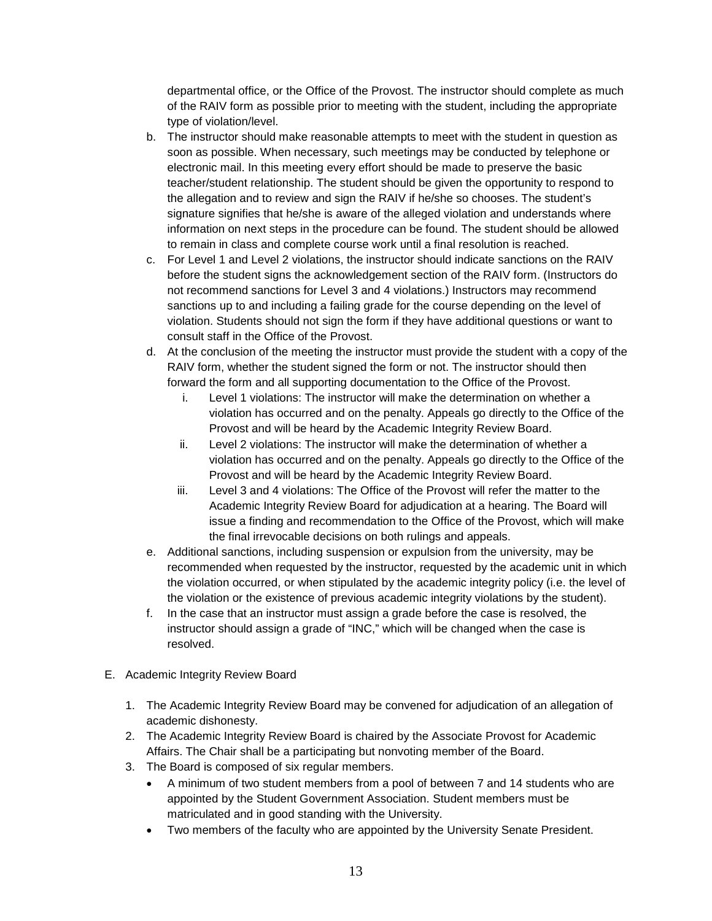departmental office, or the Office of the Provost. The instructor should complete as much of the RAIV form as possible prior to meeting with the student, including the appropriate type of violation/level.

- b. The instructor should make reasonable attempts to meet with the student in question as soon as possible. When necessary, such meetings may be conducted by telephone or electronic mail. In this meeting every effort should be made to preserve the basic teacher/student relationship. The student should be given the opportunity to respond to the allegation and to review and sign the RAIV if he/she so chooses. The student's signature signifies that he/she is aware of the alleged violation and understands where information on next steps in the procedure can be found. The student should be allowed to remain in class and complete course work until a final resolution is reached.
- c. For Level 1 and Level 2 violations, the instructor should indicate sanctions on the RAIV before the student signs the acknowledgement section of the RAIV form. (Instructors do not recommend sanctions for Level 3 and 4 violations.) Instructors may recommend sanctions up to and including a failing grade for the course depending on the level of violation. Students should not sign the form if they have additional questions or want to consult staff in the Office of the Provost.
- d. At the conclusion of the meeting the instructor must provide the student with a copy of the RAIV form, whether the student signed the form or not. The instructor should then forward the form and all supporting documentation to the Office of the Provost.
	- i. Level 1 violations: The instructor will make the determination on whether a violation has occurred and on the penalty. Appeals go directly to the Office of the Provost and will be heard by the Academic Integrity Review Board.
	- ii. Level 2 violations: The instructor will make the determination of whether a violation has occurred and on the penalty. Appeals go directly to the Office of the Provost and will be heard by the Academic Integrity Review Board.
	- iii. Level 3 and 4 violations: The Office of the Provost will refer the matter to the Academic Integrity Review Board for adjudication at a hearing. The Board will issue a finding and recommendation to the Office of the Provost, which will make the final irrevocable decisions on both rulings and appeals.
- e. Additional sanctions, including suspension or expulsion from the university, may be recommended when requested by the instructor, requested by the academic unit in which the violation occurred, or when stipulated by the academic integrity policy (i.e. the level of the violation or the existence of previous academic integrity violations by the student).
- f. In the case that an instructor must assign a grade before the case is resolved, the instructor should assign a grade of "INC," which will be changed when the case is resolved.
- E. Academic Integrity Review Board
	- 1. The Academic Integrity Review Board may be convened for adjudication of an allegation of academic dishonesty.
	- 2. The Academic Integrity Review Board is chaired by the Associate Provost for Academic Affairs. The Chair shall be a participating but nonvoting member of the Board.
	- 3. The Board is composed of six regular members.
		- A minimum of two student members from a pool of between 7 and 14 students who are appointed by the Student Government Association. Student members must be matriculated and in good standing with the University.
		- Two members of the faculty who are appointed by the University Senate President.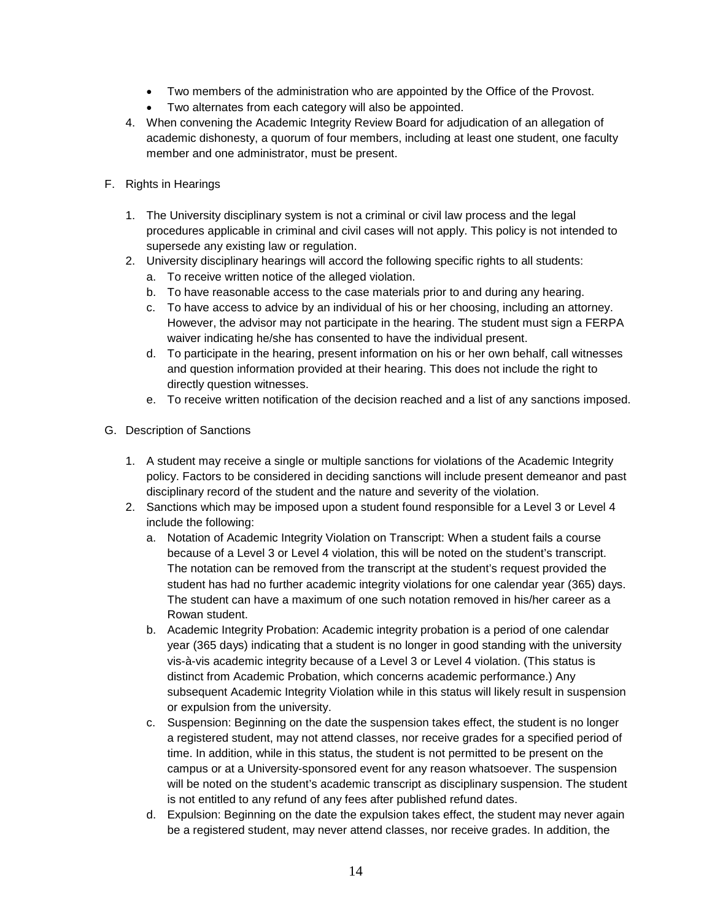- Two members of the administration who are appointed by the Office of the Provost.
- Two alternates from each category will also be appointed.
- 4. When convening the Academic Integrity Review Board for adjudication of an allegation of academic dishonesty, a quorum of four members, including at least one student, one faculty member and one administrator, must be present.
- F. Rights in Hearings
	- 1. The University disciplinary system is not a criminal or civil law process and the legal procedures applicable in criminal and civil cases will not apply. This policy is not intended to supersede any existing law or regulation.
	- 2. University disciplinary hearings will accord the following specific rights to all students:
		- a. To receive written notice of the alleged violation.
		- b. To have reasonable access to the case materials prior to and during any hearing.
		- c. To have access to advice by an individual of his or her choosing, including an attorney. However, the advisor may not participate in the hearing. The student must sign a FERPA waiver indicating he/she has consented to have the individual present.
		- d. To participate in the hearing, present information on his or her own behalf, call witnesses and question information provided at their hearing. This does not include the right to directly question witnesses.
		- e. To receive written notification of the decision reached and a list of any sanctions imposed.
- G. Description of Sanctions
	- 1. A student may receive a single or multiple sanctions for violations of the Academic Integrity policy. Factors to be considered in deciding sanctions will include present demeanor and past disciplinary record of the student and the nature and severity of the violation.
	- 2. Sanctions which may be imposed upon a student found responsible for a Level 3 or Level 4 include the following:
		- a. Notation of Academic Integrity Violation on Transcript: When a student fails a course because of a Level 3 or Level 4 violation, this will be noted on the student's transcript. The notation can be removed from the transcript at the student's request provided the student has had no further academic integrity violations for one calendar year (365) days. The student can have a maximum of one such notation removed in his/her career as a Rowan student.
		- b. Academic Integrity Probation: Academic integrity probation is a period of one calendar year (365 days) indicating that a student is no longer in good standing with the university vis-à-vis academic integrity because of a Level 3 or Level 4 violation. (This status is distinct from Academic Probation, which concerns academic performance.) Any subsequent Academic Integrity Violation while in this status will likely result in suspension or expulsion from the university.
		- c. Suspension: Beginning on the date the suspension takes effect, the student is no longer a registered student, may not attend classes, nor receive grades for a specified period of time. In addition, while in this status, the student is not permitted to be present on the campus or at a University-sponsored event for any reason whatsoever. The suspension will be noted on the student's academic transcript as disciplinary suspension. The student is not entitled to any refund of any fees after published refund dates.
		- d. Expulsion: Beginning on the date the expulsion takes effect, the student may never again be a registered student, may never attend classes, nor receive grades. In addition, the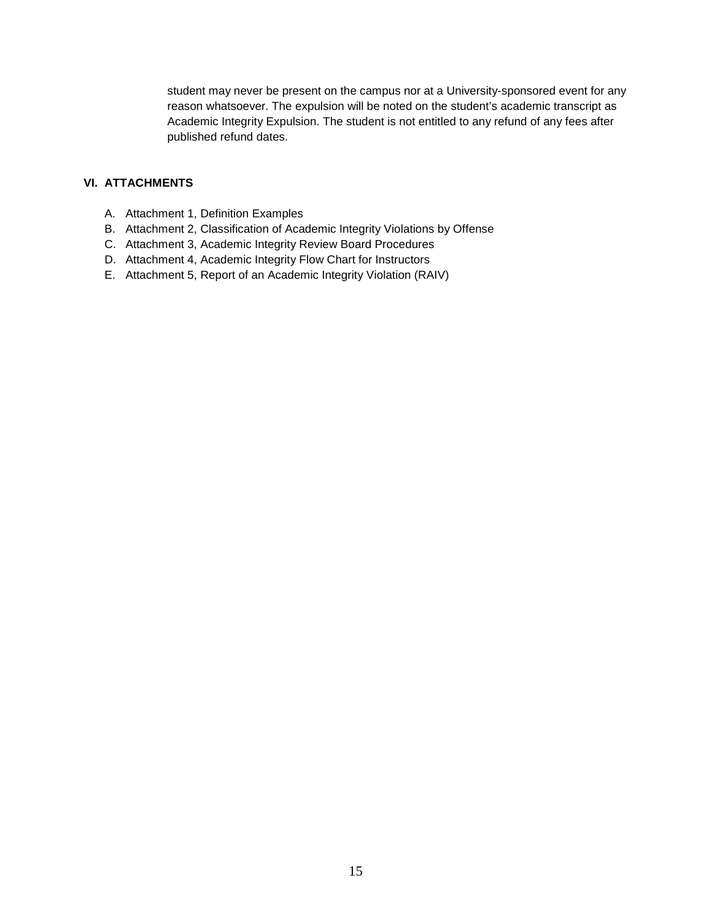student may never be present on the campus nor at a University-sponsored event for any reason whatsoever. The expulsion will be noted on the student's academic transcript as Academic Integrity Expulsion. The student is not entitled to any refund of any fees after published refund dates.

#### **VI. ATTACHMENTS**

- A. Attachment 1, Definition Examples
- B. Attachment 2, Classification of Academic Integrity Violations by Offense
- C. Attachment 3, Academic Integrity Review Board Procedures
- D. Attachment 4, Academic Integrity Flow Chart for Instructors
- E. Attachment 5, Report of an Academic Integrity Violation (RAIV)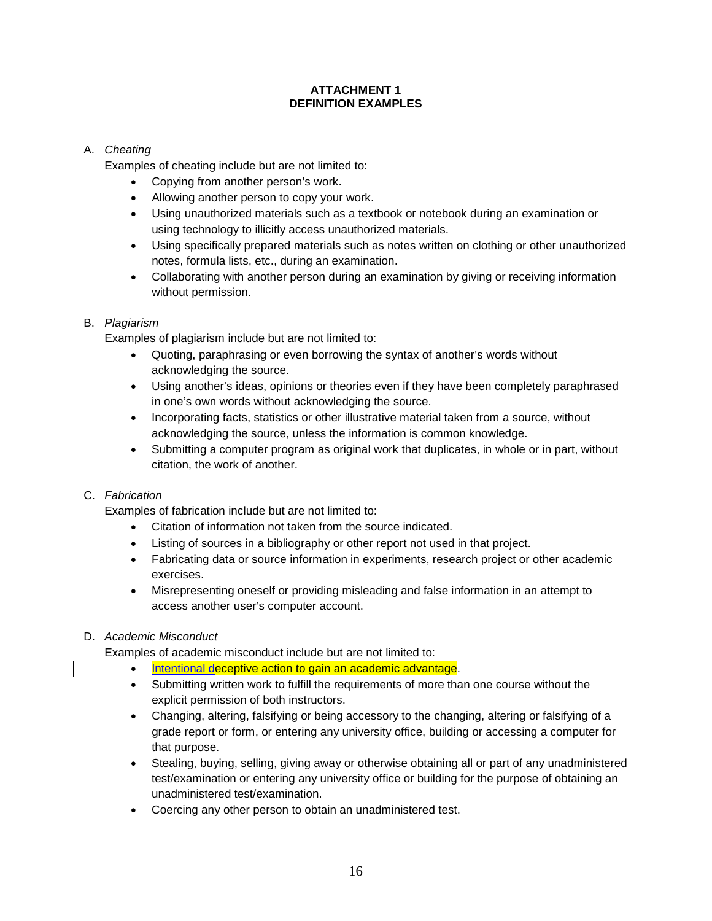#### **ATTACHMENT 1 DEFINITION EXAMPLES**

## A. *Cheating*

Examples of cheating include but are not limited to:

- Copying from another person's work.
- Allowing another person to copy your work.
- Using unauthorized materials such as a textbook or notebook during an examination or using technology to illicitly access unauthorized materials.
- Using specifically prepared materials such as notes written on clothing or other unauthorized notes, formula lists, etc., during an examination.
- Collaborating with another person during an examination by giving or receiving information without permission.

#### B. *Plagiarism*

Examples of plagiarism include but are not limited to:

- Quoting, paraphrasing or even borrowing the syntax of another's words without acknowledging the source.
- Using another's ideas, opinions or theories even if they have been completely paraphrased in one's own words without acknowledging the source.
- Incorporating facts, statistics or other illustrative material taken from a source, without acknowledging the source, unless the information is common knowledge.
- Submitting a computer program as original work that duplicates, in whole or in part, without citation, the work of another.

## C. *Fabrication*

Examples of fabrication include but are not limited to:

- Citation of information not taken from the source indicated.
- Listing of sources in a bibliography or other report not used in that project.
- Fabricating data or source information in experiments, research project or other academic exercises.
- Misrepresenting oneself or providing misleading and false information in an attempt to access another user's computer account.

## D. *Academic Misconduct*

Examples of academic misconduct include but are not limited to:

- Intentional deceptive action to gain an academic advantage.
- Submitting written work to fulfill the requirements of more than one course without the explicit permission of both instructors.
- Changing, altering, falsifying or being accessory to the changing, altering or falsifying of a grade report or form, or entering any university office, building or accessing a computer for that purpose.
- Stealing, buying, selling, giving away or otherwise obtaining all or part of any unadministered test/examination or entering any university office or building for the purpose of obtaining an unadministered test/examination.
- Coercing any other person to obtain an unadministered test.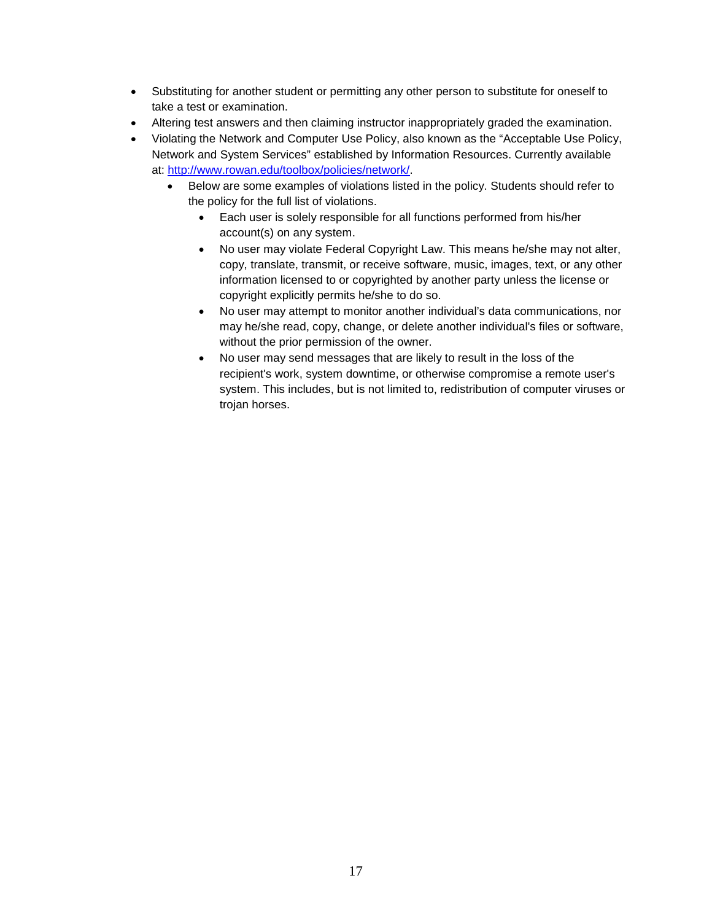- Substituting for another student or permitting any other person to substitute for oneself to take a test or examination.
- Altering test answers and then claiming instructor inappropriately graded the examination.
- Violating the Network and Computer Use Policy, also known as the "Acceptable Use Policy, Network and System Services" established by Information Resources. Currently available at: [http://www.rowan.edu/toolbox/policies/network/.](http://www.rowan.edu/toolbox/policies/network/)
	- Below are some examples of violations listed in the policy. Students should refer to the policy for the full list of violations.
		- Each user is solely responsible for all functions performed from his/her account(s) on any system.
		- No user may violate Federal Copyright Law. This means he/she may not alter, copy, translate, transmit, or receive software, music, images, text, or any other information licensed to or copyrighted by another party unless the license or copyright explicitly permits he/she to do so.
		- No user may attempt to monitor another individual's data communications, nor may he/she read, copy, change, or delete another individual's files or software, without the prior permission of the owner.
		- No user may send messages that are likely to result in the loss of the recipient's work, system downtime, or otherwise compromise a remote user's system. This includes, but is not limited to, redistribution of computer viruses or trojan horses.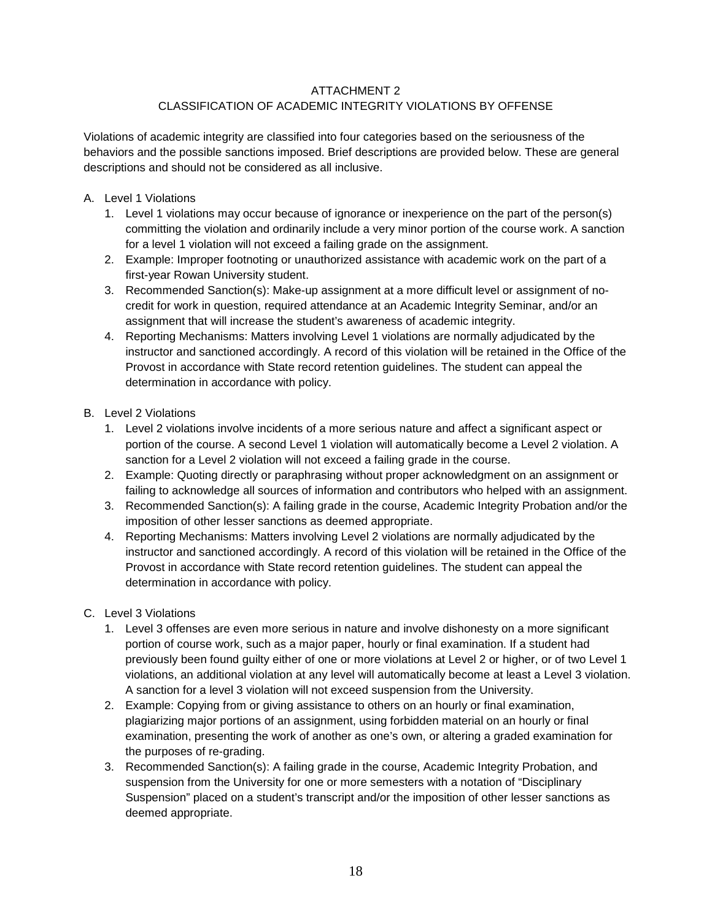## ATTACHMENT 2

## CLASSIFICATION OF ACADEMIC INTEGRITY VIOLATIONS BY OFFENSE

Violations of academic integrity are classified into four categories based on the seriousness of the behaviors and the possible sanctions imposed. Brief descriptions are provided below. These are general descriptions and should not be considered as all inclusive.

- A. Level 1 Violations
	- 1. Level 1 violations may occur because of ignorance or inexperience on the part of the person(s) committing the violation and ordinarily include a very minor portion of the course work. A sanction for a level 1 violation will not exceed a failing grade on the assignment.
	- 2. Example: Improper footnoting or unauthorized assistance with academic work on the part of a first-year Rowan University student.
	- 3. Recommended Sanction(s): Make-up assignment at a more difficult level or assignment of nocredit for work in question, required attendance at an Academic Integrity Seminar, and/or an assignment that will increase the student's awareness of academic integrity.
	- 4. Reporting Mechanisms: Matters involving Level 1 violations are normally adjudicated by the instructor and sanctioned accordingly. A record of this violation will be retained in the Office of the Provost in accordance with State record retention guidelines. The student can appeal the determination in accordance with policy.
- B. Level 2 Violations
	- 1. Level 2 violations involve incidents of a more serious nature and affect a significant aspect or portion of the course. A second Level 1 violation will automatically become a Level 2 violation. A sanction for a Level 2 violation will not exceed a failing grade in the course.
	- 2. Example: Quoting directly or paraphrasing without proper acknowledgment on an assignment or failing to acknowledge all sources of information and contributors who helped with an assignment.
	- 3. Recommended Sanction(s): A failing grade in the course, Academic Integrity Probation and/or the imposition of other lesser sanctions as deemed appropriate.
	- 4. Reporting Mechanisms: Matters involving Level 2 violations are normally adjudicated by the instructor and sanctioned accordingly. A record of this violation will be retained in the Office of the Provost in accordance with State record retention guidelines. The student can appeal the determination in accordance with policy.
- C. Level 3 Violations
	- 1. Level 3 offenses are even more serious in nature and involve dishonesty on a more significant portion of course work, such as a major paper, hourly or final examination. If a student had previously been found guilty either of one or more violations at Level 2 or higher, or of two Level 1 violations, an additional violation at any level will automatically become at least a Level 3 violation. A sanction for a level 3 violation will not exceed suspension from the University.
	- 2. Example: Copying from or giving assistance to others on an hourly or final examination, plagiarizing major portions of an assignment, using forbidden material on an hourly or final examination, presenting the work of another as one's own, or altering a graded examination for the purposes of re-grading.
	- 3. Recommended Sanction(s): A failing grade in the course, Academic Integrity Probation, and suspension from the University for one or more semesters with a notation of "Disciplinary Suspension" placed on a student's transcript and/or the imposition of other lesser sanctions as deemed appropriate.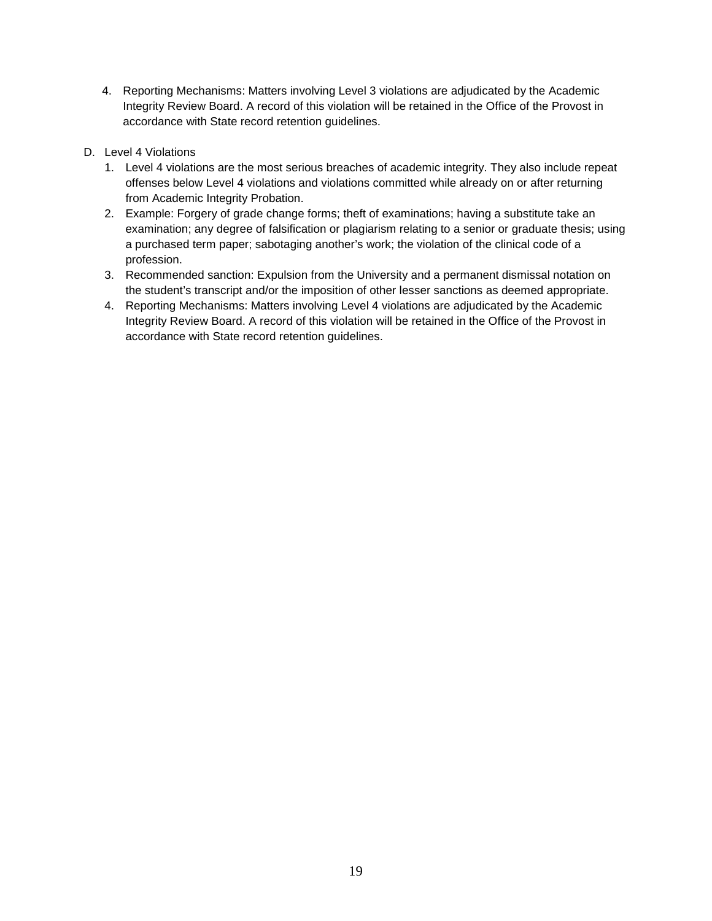- 4. Reporting Mechanisms: Matters involving Level 3 violations are adjudicated by the Academic Integrity Review Board. A record of this violation will be retained in the Office of the Provost in accordance with State record retention guidelines.
- D. Level 4 Violations
	- 1. Level 4 violations are the most serious breaches of academic integrity. They also include repeat offenses below Level 4 violations and violations committed while already on or after returning from Academic Integrity Probation.
	- 2. Example: Forgery of grade change forms; theft of examinations; having a substitute take an examination; any degree of falsification or plagiarism relating to a senior or graduate thesis; using a purchased term paper; sabotaging another's work; the violation of the clinical code of a profession.
	- 3. Recommended sanction: Expulsion from the University and a permanent dismissal notation on the student's transcript and/or the imposition of other lesser sanctions as deemed appropriate.
	- 4. Reporting Mechanisms: Matters involving Level 4 violations are adjudicated by the Academic Integrity Review Board. A record of this violation will be retained in the Office of the Provost in accordance with State record retention guidelines.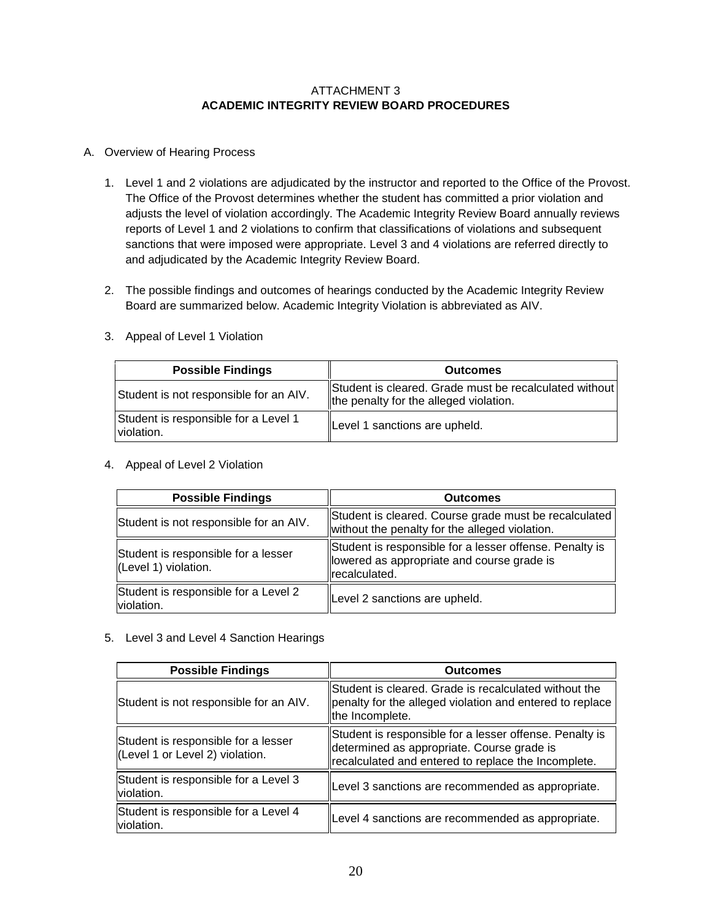#### ATTACHMENT 3 **ACADEMIC INTEGRITY REVIEW BOARD PROCEDURES**

#### A. Overview of Hearing Process

- 1. Level 1 and 2 violations are adjudicated by the instructor and reported to the Office of the Provost. The Office of the Provost determines whether the student has committed a prior violation and adjusts the level of violation accordingly. The Academic Integrity Review Board annually reviews reports of Level 1 and 2 violations to confirm that classifications of violations and subsequent sanctions that were imposed were appropriate. Level 3 and 4 violations are referred directly to and adjudicated by the Academic Integrity Review Board.
- 2. The possible findings and outcomes of hearings conducted by the Academic Integrity Review Board are summarized below. Academic Integrity Violation is abbreviated as AIV.

| <b>Possible Findings</b>                           | <b>Outcomes</b>                                                                                  |
|----------------------------------------------------|--------------------------------------------------------------------------------------------------|
| Student is not responsible for an AIV.             | Student is cleared. Grade must be recalculated without<br>the penalty for the alleged violation. |
| Student is responsible for a Level 1<br>violation. | Level 1 sanctions are upheld.                                                                    |

3. Appeal of Level 1 Violation

#### 4. Appeal of Level 2 Violation

| <b>Possible Findings</b>                                    | <b>Outcomes</b>                                                                                                         |  |
|-------------------------------------------------------------|-------------------------------------------------------------------------------------------------------------------------|--|
| Student is not responsible for an AIV.                      | Student is cleared. Course grade must be recalculated<br>without the penalty for the alleged violation.                 |  |
| Student is responsible for a lesser<br>(Level 1) violation. | Student is responsible for a lesser offense. Penalty is<br>llowered as appropriate and course grade is<br>recalculated. |  |
| Student is responsible for a Level 2<br>violation.          | Level 2 sanctions are upheld.                                                                                           |  |

#### 5. Level 3 and Level 4 Sanction Hearings

| <b>Possible Findings</b>                                               | <b>Outcomes</b>                                                                                                                                              |  |
|------------------------------------------------------------------------|--------------------------------------------------------------------------------------------------------------------------------------------------------------|--|
| Student is not responsible for an AIV.                                 | Student is cleared. Grade is recalculated without the<br>penalty for the alleged violation and entered to replace<br>the Incomplete.                         |  |
| Student is responsible for a lesser<br>(Level 1 or Level 2) violation. | Student is responsible for a lesser offense. Penalty is<br>determined as appropriate. Course grade is<br>recalculated and entered to replace the Incomplete. |  |
| Student is responsible for a Level 3<br>violation.                     | Level 3 sanctions are recommended as appropriate.                                                                                                            |  |
| Student is responsible for a Level 4<br>violation.                     | Level 4 sanctions are recommended as appropriate.                                                                                                            |  |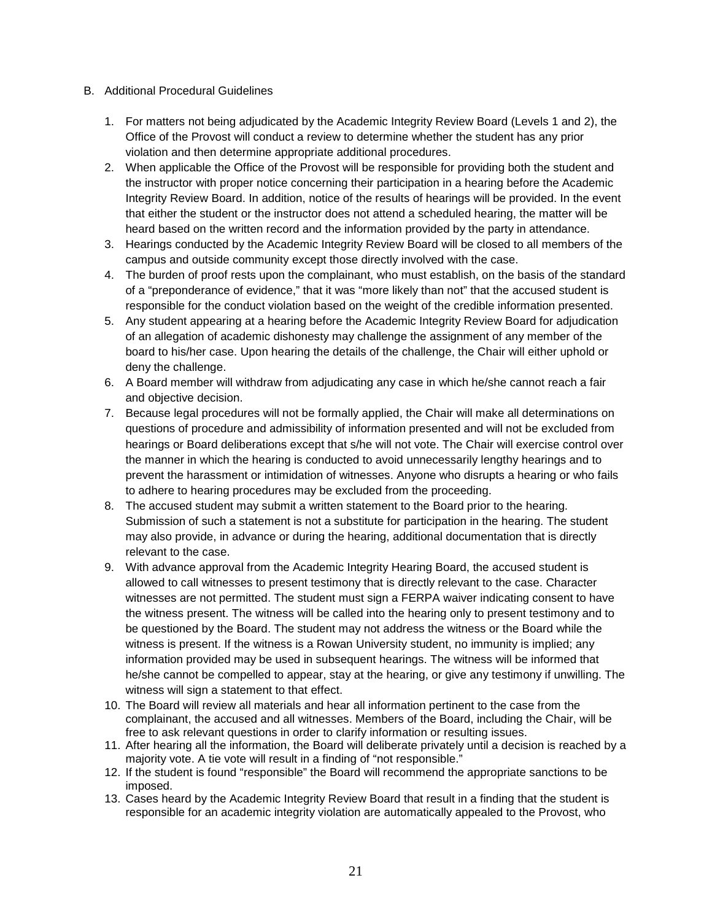- B. Additional Procedural Guidelines
	- 1. For matters not being adjudicated by the Academic Integrity Review Board (Levels 1 and 2), the Office of the Provost will conduct a review to determine whether the student has any prior violation and then determine appropriate additional procedures.
	- 2. When applicable the Office of the Provost will be responsible for providing both the student and the instructor with proper notice concerning their participation in a hearing before the Academic Integrity Review Board. In addition, notice of the results of hearings will be provided. In the event that either the student or the instructor does not attend a scheduled hearing, the matter will be heard based on the written record and the information provided by the party in attendance.
	- 3. Hearings conducted by the Academic Integrity Review Board will be closed to all members of the campus and outside community except those directly involved with the case.
	- 4. The burden of proof rests upon the complainant, who must establish, on the basis of the standard of a "preponderance of evidence," that it was "more likely than not" that the accused student is responsible for the conduct violation based on the weight of the credible information presented.
	- 5. Any student appearing at a hearing before the Academic Integrity Review Board for adjudication of an allegation of academic dishonesty may challenge the assignment of any member of the board to his/her case. Upon hearing the details of the challenge, the Chair will either uphold or deny the challenge.
	- 6. A Board member will withdraw from adjudicating any case in which he/she cannot reach a fair and objective decision.
	- 7. Because legal procedures will not be formally applied, the Chair will make all determinations on questions of procedure and admissibility of information presented and will not be excluded from hearings or Board deliberations except that s/he will not vote. The Chair will exercise control over the manner in which the hearing is conducted to avoid unnecessarily lengthy hearings and to prevent the harassment or intimidation of witnesses. Anyone who disrupts a hearing or who fails to adhere to hearing procedures may be excluded from the proceeding.
	- 8. The accused student may submit a written statement to the Board prior to the hearing. Submission of such a statement is not a substitute for participation in the hearing. The student may also provide, in advance or during the hearing, additional documentation that is directly relevant to the case.
	- 9. With advance approval from the Academic Integrity Hearing Board, the accused student is allowed to call witnesses to present testimony that is directly relevant to the case. Character witnesses are not permitted. The student must sign a FERPA waiver indicating consent to have the witness present. The witness will be called into the hearing only to present testimony and to be questioned by the Board. The student may not address the witness or the Board while the witness is present. If the witness is a Rowan University student, no immunity is implied; any information provided may be used in subsequent hearings. The witness will be informed that he/she cannot be compelled to appear, stay at the hearing, or give any testimony if unwilling. The witness will sign a statement to that effect.
	- 10. The Board will review all materials and hear all information pertinent to the case from the complainant, the accused and all witnesses. Members of the Board, including the Chair, will be free to ask relevant questions in order to clarify information or resulting issues.
	- 11. After hearing all the information, the Board will deliberate privately until a decision is reached by a majority vote. A tie vote will result in a finding of "not responsible."
	- 12. If the student is found "responsible" the Board will recommend the appropriate sanctions to be imposed.
	- 13. Cases heard by the Academic Integrity Review Board that result in a finding that the student is responsible for an academic integrity violation are automatically appealed to the Provost, who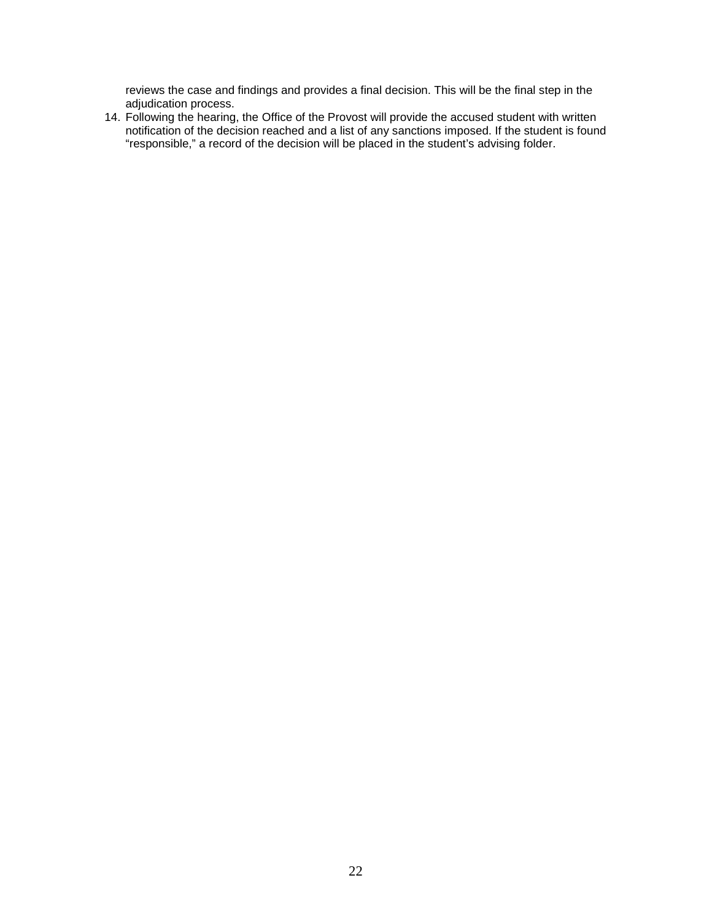reviews the case and findings and provides a final decision. This will be the final step in the adjudication process.

14. Following the hearing, the Office of the Provost will provide the accused student with written notification of the decision reached and a list of any sanctions imposed. If the student is found "responsible," a record of the decision will be placed in the student's advising folder.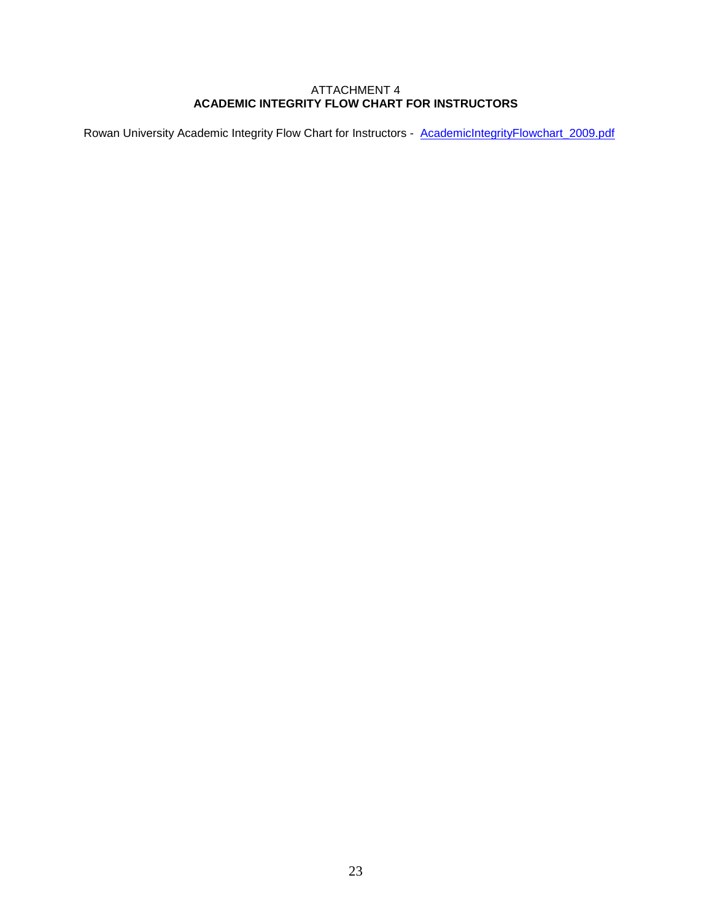#### ATTACHMENT 4 **ACADEMIC INTEGRITY FLOW CHART FOR INSTRUCTORS**

Rowan University Academic Integrity Flow Chart for Instructors - AcademicIntegrityFlowchart\_2009.pdf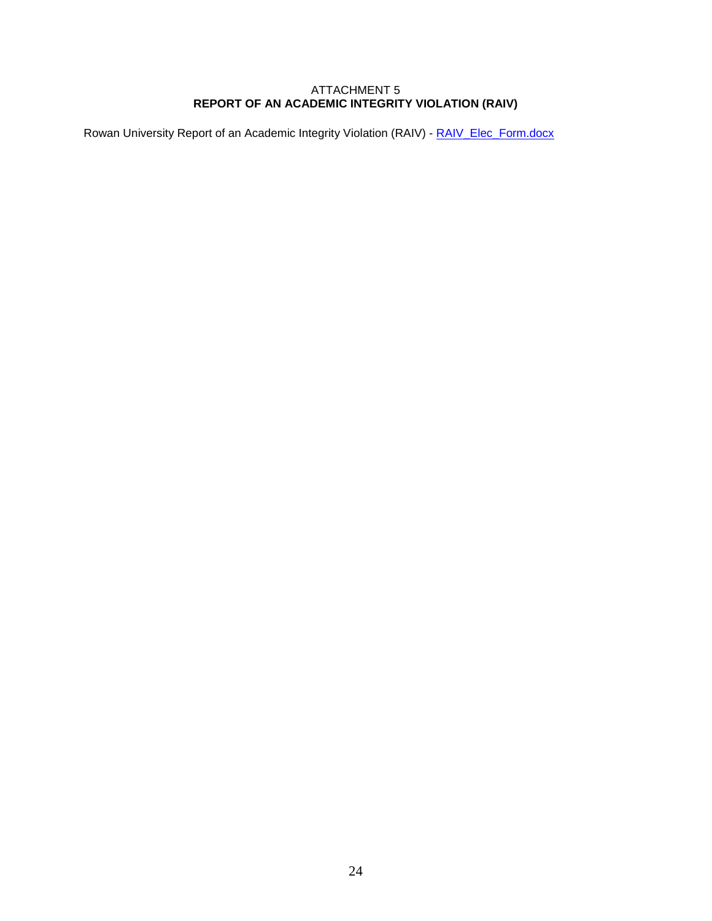#### ATTACHMENT 5 **REPORT OF AN ACADEMIC INTEGRITY VIOLATION (RAIV)**

Rowan University Report of an Academic Integrity Violation (RAIV) - RAIV Elec\_Form.docx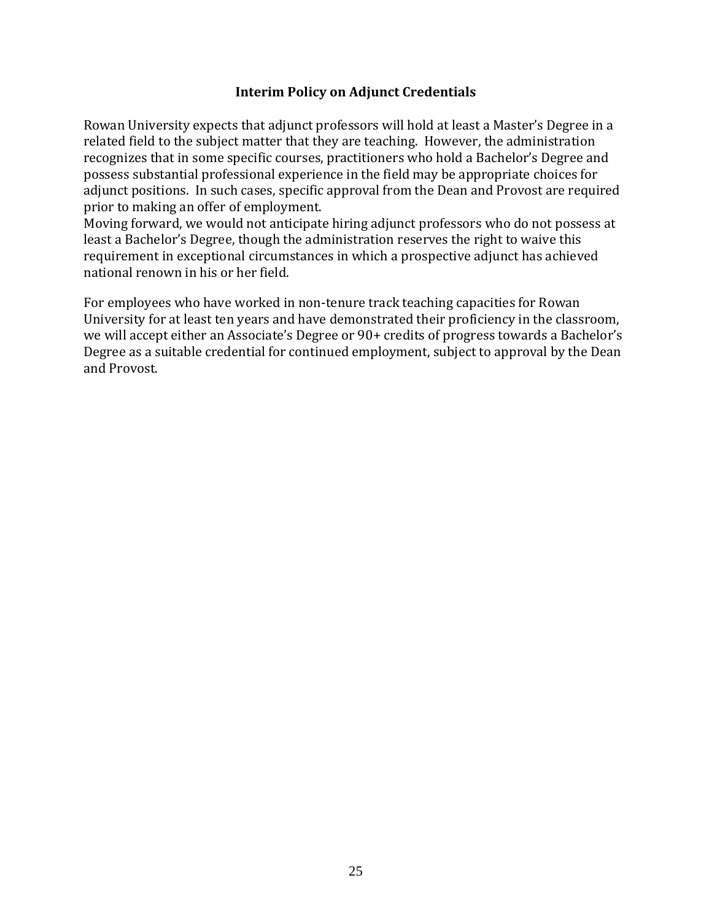# **Interim Policy on Adjunct Credentials**

Rowan University expects that adjunct professors will hold at least a Master's Degree in a related field to the subject matter that they are teaching. However, the administration recognizes that in some specific courses, practitioners who hold a Bachelor's Degree and possess substantial professional experience in the field may be appropriate choices for adjunct positions. In such cases, specific approval from the Dean and Provost are required prior to making an offer of employment.

Moving forward, we would not anticipate hiring adjunct professors who do not possess at least a Bachelor's Degree, though the administration reserves the right to waive this requirement in exceptional circumstances in which a prospective adjunct has achieved national renown in his or her field.

For employees who have worked in non-tenure track teaching capacities for Rowan University for at least ten years and have demonstrated their proficiency in the classroom, we will accept either an Associate's Degree or 90+ credits of progress towards a Bachelor's Degree as a suitable credential for continued employment, subject to approval by the Dean and Provost.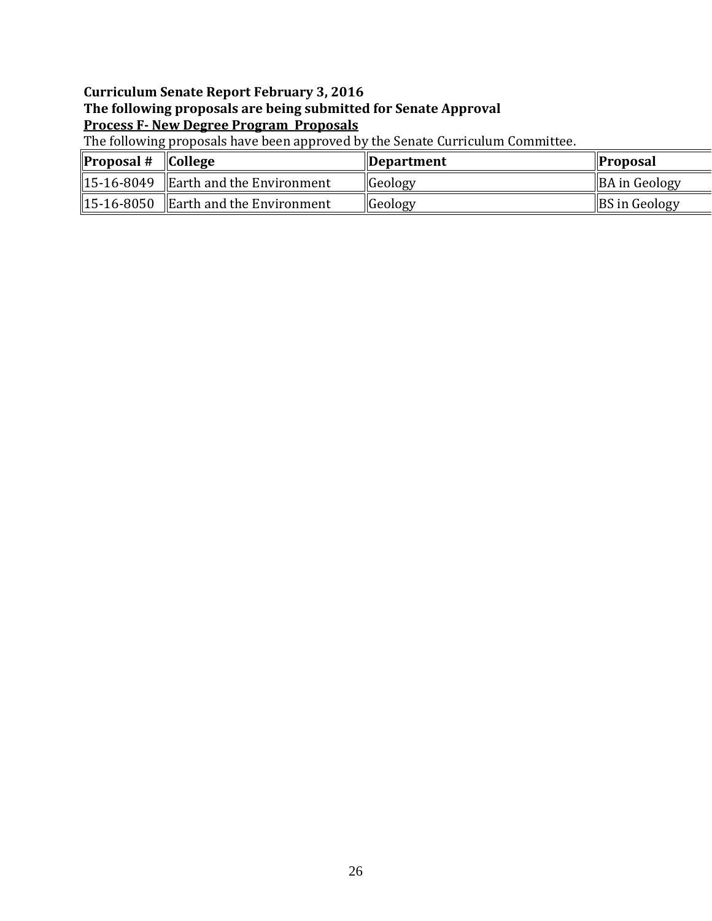# **Curriculum Senate Report February 3, 2016 The following proposals are being submitted for Senate Approval Process F- New Degree Program Proposals**

The following proposals have been approved by the Senate Curriculum Committee.

| $\blacksquare$ Proposal # $\blacksquare$ College |                                                  | <i><b>Department</b></i> | <b>Proposal</b>      |
|--------------------------------------------------|--------------------------------------------------|--------------------------|----------------------|
|                                                  | $\parallel$ 15-16-8049 Earth and the Environment | <b>Geology</b>           | <b>BA in Geology</b> |
|                                                  | $\parallel$ 15-16-8050 Earth and the Environment | <b>Geology</b>           | <b>BS</b> in Geology |